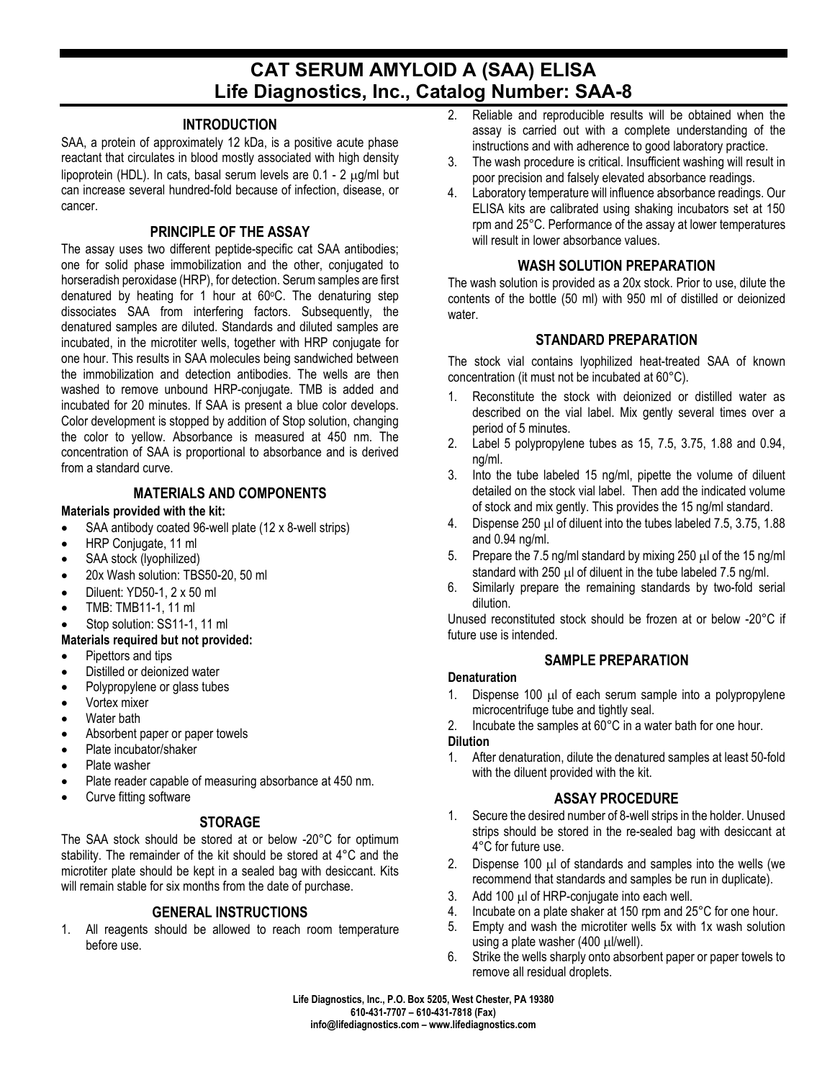# **CAT SERUM AMYLOID A (SAA) ELISA Life Diagnostics, Inc., Catalog Number: SAA-8**

## **INTRODUCTION**

SAA, a protein of approximately 12 kDa, is a positive acute phase reactant that circulates in blood mostly associated with high density lipoprotein (HDL). In cats, basal serum levels are 0.1 - 2 µg/ml but can increase several hundred-fold because of infection, disease, or cancer.

## **PRINCIPLE OF THE ASSAY**

The assay uses two different peptide-specific cat SAA antibodies; one for solid phase immobilization and the other, conjugated to horseradish peroxidase (HRP), for detection. Serum samples are first denatured by heating for 1 hour at  $60^{\circ}$ C. The denaturing step dissociates SAA from interfering factors. Subsequently, the denatured samples are diluted. Standards and diluted samples are incubated, in the microtiter wells, together with HRP conjugate for one hour. This results in SAA molecules being sandwiched between the immobilization and detection antibodies. The wells are then washed to remove unbound HRP-conjugate. TMB is added and incubated for 20 minutes. If SAA is present a blue color develops. Color development is stopped by addition of Stop solution, changing the color to yellow. Absorbance is measured at 450 nm. The concentration of SAA is proportional to absorbance and is derived from a standard curve.

#### **MATERIALS AND COMPONENTS**

#### **Materials provided with the kit:**

- SAA antibody coated 96-well plate (12 x 8-well strips)
- HRP Conjugate, 11 ml
- SAA stock (lyophilized)
- 20x Wash solution: TBS50-20, 50 ml
- Diluent: YD50-1, 2 x 50 ml
- TMB: TMB11-1, 11 ml
- Stop solution: SS11-1, 11 ml

#### **Materials required but not provided:**

- Pipettors and tips
- Distilled or deionized water
- Polypropylene or glass tubes
- Vortex mixer
- Water bath
- Absorbent paper or paper towels
- Plate incubator/shaker
- Plate washer
- Plate reader capable of measuring absorbance at 450 nm.
- Curve fitting software

# **STORAGE**

The SAA stock should be stored at or below -20°C for optimum stability. The remainder of the kit should be stored at 4°C and the microtiter plate should be kept in a sealed bag with desiccant. Kits will remain stable for six months from the date of purchase.

# **GENERAL INSTRUCTIONS**

1. All reagents should be allowed to reach room temperature before use.

- 2. Reliable and reproducible results will be obtained when the assay is carried out with a complete understanding of the instructions and with adherence to good laboratory practice.
- 3. The wash procedure is critical. Insufficient washing will result in poor precision and falsely elevated absorbance readings.
- 4. Laboratory temperature will influence absorbance readings. Our ELISA kits are calibrated using shaking incubators set at 150 rpm and 25°C. Performance of the assay at lower temperatures will result in lower absorbance values.

## **WASH SOLUTION PREPARATION**

The wash solution is provided as a 20x stock. Prior to use, dilute the contents of the bottle (50 ml) with 950 ml of distilled or deionized water.

# **STANDARD PREPARATION**

The stock vial contains lyophilized heat-treated SAA of known concentration (it must not be incubated at 60°C).

- 1. Reconstitute the stock with deionized or distilled water as described on the vial label. Mix gently several times over a period of 5 minutes.
- 2. Label 5 polypropylene tubes as 15, 7.5, 3.75, 1.88 and 0.94, ng/ml.
- 3. Into the tube labeled 15 ng/ml, pipette the volume of diluent detailed on the stock vial label. Then add the indicated volume of stock and mix gently. This provides the 15 ng/ml standard.
- 4. Dispense 250  $\mu$ I of diluent into the tubes labeled 7.5, 3.75, 1.88 and 0.94 ng/ml.
- 5. Prepare the 7.5 ng/ml standard by mixing 250  $\mu$ l of the 15 ng/ml standard with 250 µ of diluent in the tube labeled 7.5 ng/m.
- 6. Similarly prepare the remaining standards by two-fold serial dilution.

Unused reconstituted stock should be frozen at or below -20°C if future use is intended.

#### **SAMPLE PREPARATION**

#### **Denaturation**

- 1. Dispense 100  $\mu$  of each serum sample into a polypropylene microcentrifuge tube and tightly seal.
- 2. Incubate the samples at 60°C in a water bath for one hour.

#### **Dilution**

1. After denaturation, dilute the denatured samples at least 50-fold with the diluent provided with the kit.

# **ASSAY PROCEDURE**

- 1. Secure the desired number of 8-well strips in the holder. Unused strips should be stored in the re-sealed bag with desiccant at 4°C for future use.
- 2. Dispense 100  $\mu$  of standards and samples into the wells (we recommend that standards and samples be run in duplicate).
- 3. Add 100 µl of HRP-conjugate into each well.
- 4. Incubate on a plate shaker at 150 rpm and 25°C for one hour.
- 5. Empty and wash the microtiter wells 5x with 1x wash solution using a plate washer (400  $\mu$ l/well).
- 6. Strike the wells sharply onto absorbent paper or paper towels to remove all residual droplets.

**Life Diagnostics, Inc., P.O. Box 5205, West Chester, PA 19380 610-431-7707 – 610-431-7818 (Fax) info@lifediagnostics.com – www.lifediagnostics.com**